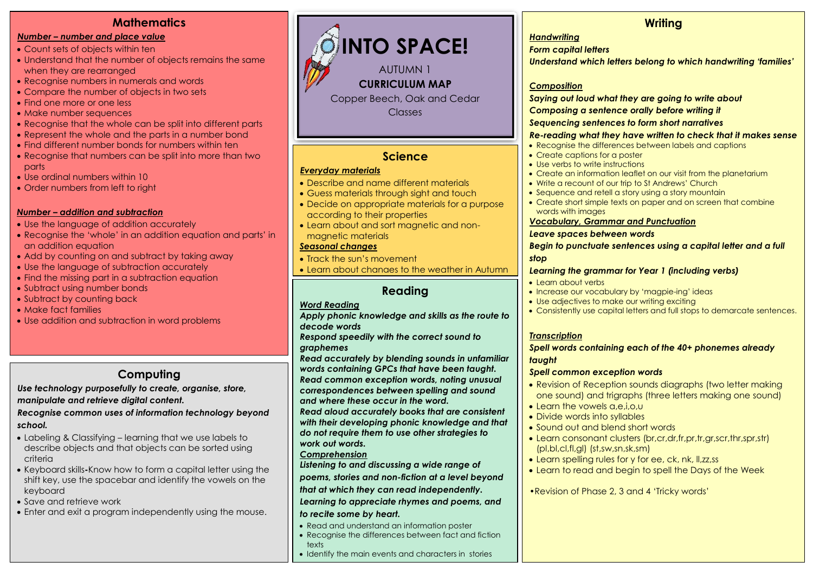# **Mathematics**

#### *Number – number and place value*

- Count sets of objects within ten
- Understand that the number of objects remains the same when they are rearranged
- Recognise numbers in numerals and words
- Compare the number of objects in two sets
- Find one more or one less
- Make number sequences
- Recognise that the whole can be split into different parts
- Represent the whole and the parts in a number bond
- Find different number bonds for numbers within ten
- Recognise that numbers can be split into more than two parts
- Use ordinal numbers within 10
- Order numbers from left to right

#### *Number – addition and subtraction*

- Use the language of addition accurately
- Recognise the 'whole' in an addition equation and parts' in an addition equation
- Add by counting on and subtract by taking away
- Use the language of subtraction accurately
- Find the missing part in a subtraction equation
- Subtract using number bonds
- Subtract by counting back
- Make fact families
- Use addition and subtraction in word problems

# **Computing**

*Use technology purposefully to create, organise, store, manipulate and retrieve digital content.*

*Recognise common uses of information technology beyond school.*

- Labeling & Classifying learning that we use labels to describe objects and that objects can be sorted using criteria
- Keyboard skills**-**Know how to form a capital letter using the shift key, use the spacebar and identify the vowels on the keyboard
- Save and retrieve work
- Enter and exit a program independently using the mouse.



# **Science**

#### *Everyday materials*

- Describe and name different materials
- Guess materials through sight and touch
- Decide on appropriate materials for a purpose according to their properties
- Learn about and sort magnetic and nonmagnetic materials

#### *Seasonal changes*

- Track the sun's movement
- Learn about changes to the weather in Autumn

# **Reading**

### *Word Reading*

*Apply phonic knowledge and skills as the route to decode words*

*Respond speedily with the correct sound to graphemes*

*Read accurately by blending sounds in unfamiliar words containing GPCs that have been taught. Read common exception words, noting unusual correspondences between spelling and sound and where these occur in the word.*

*Read aloud accurately books that are consistent with their developing phonic knowledge and that do not require them to use other strategies to work out words.*

#### *Comprehension*

*Listening to and discussing a wide range of poems, stories and non-fiction at a level beyond that at which they can read independently.*

#### *Learning to appreciate rhymes and poems, and to recite some by heart.*

- Read and understand an information poster
- Recognise the differences between fact and fiction texts
- Identify the main events and characters in stories

# **Writing**

#### *Handwriting*

*Form capital letters*

*Understand which letters belong to which handwriting 'families'*

#### *Composition*

*Saying out loud what they are going to write about*

*Composing a sentence orally before writing it*

#### *Sequencing sentences to form short narratives*

#### *Re-reading what they have written to check that it makes sense*

- Recognise the differences between labels and captions
- Create captions for a poster
- Use verbs to write instructions
- Create an information leaflet on our visit from the planetarium
- Write a recount of our trip to St Andrews' Church
- Sequence and retell a story using a story mountain
- Create short simple texts on paper and on screen that combine words with images

#### *Vocabulary, Grammar and Punctuation*

#### *Leave spaces between words*

*Begin to punctuate sentences using a capital letter and a full stop*

#### *Learning the grammar for Year 1 (including verbs)*

- Learn about verbs
- Increase our vocabulary by 'magpie-ing' ideas
- Use adjectives to make our writing exciting
- Consistently use capital letters and full stops to demarcate sentences.

#### *Transcription*

#### *Spell words containing each of the 40+ phonemes already taught*

#### *Spell common exception words*

- Revision of Reception sounds diagraphs (two letter making one sound) and trigraphs (three letters making one sound)
- Learn the vowels a,e,i,o,u
- Divide words into syllables
- Sound out and blend short words
- Learn consonant clusters (br,cr,dr,fr,pr,tr,gr,scr,thr,spr,str) (pl,bl,cl,fl,gl) (st,sw,sn,sk,sm)
- Learn spelling rules for y for ee, ck, nk, Il,zz,ss
- Learn to read and begin to spell the Days of the Week

•Revision of Phase 2, 3 and 4 'Tricky words'